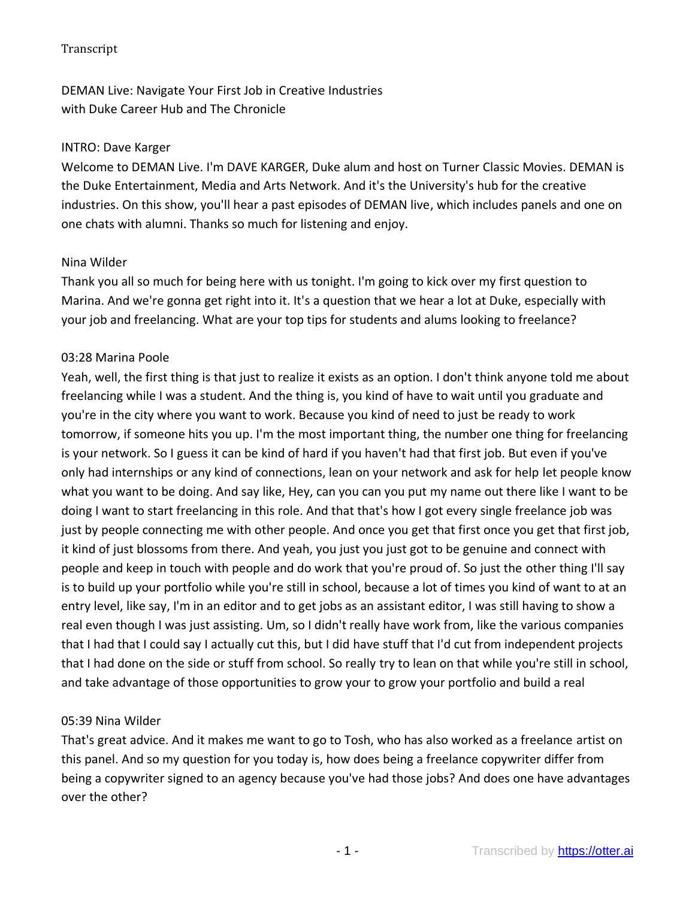DEMAN Live: Navigate Your First Job in Creative Industries with Duke Career Hub and The Chronicle

#### INTRO: Dave Karger

Welcome to DEMAN Live. I'm DAVE KARGER, Duke alum and host on Turner Classic Movies. DEMAN is the Duke Entertainment, Media and Arts Network. And it's the University's hub for the creative industries. On this show, you'll hear a past episodes of DEMAN live, which includes panels and one on one chats with alumni. Thanks so much for listening and enjoy.

#### Nina Wilder

Thank you all so much for being here with us tonight. I'm going to kick over my first question to Marina. And we're gonna get right into it. It's a question that we hear a lot at Duke, especially with your job and freelancing. What are your top tips for students and alums looking to freelance?

#### 03:28 Marina Poole

Yeah, well, the first thing is that just to realize it exists as an option. I don't think anyone told me about freelancing while I was a student. And the thing is, you kind of have to wait until you graduate and you're in the city where you want to work. Because you kind of need to just be ready to work tomorrow, if someone hits you up. I'm the most important thing, the number one thing for freelancing is your network. So I guess it can be kind of hard if you haven't had that first job. But even if you've only had internships or any kind of connections, lean on your network and ask for help let people know what you want to be doing. And say like, Hey, can you can you put my name out there like I want to be doing I want to start freelancing in this role. And that that's how I got every single freelance job was just by people connecting me with other people. And once you get that first once you get that first job, it kind of just blossoms from there. And yeah, you just you just got to be genuine and connect with people and keep in touch with people and do work that you're proud of. So just the other thing I'll say is to build up your portfolio while you're still in school, because a lot of times you kind of want to at an entry level, like say, I'm in an editor and to get jobs as an assistant editor, I was still having to show a real even though I was just assisting. Um, so I didn't really have work from, like the various companies that I had that I could say I actually cut this, but I did have stuff that I'd cut from independent projects that I had done on the side or stuff from school. So really try to lean on that while you're still in school, and take advantage of those opportunities to grow your to grow your portfolio and build a real

#### 05:39 Nina Wilder

That's great advice. And it makes me want to go to Tosh, who has also worked as a freelance artist on this panel. And so my question for you today is, how does being a freelance copywriter differ from being a copywriter signed to an agency because you've had those jobs? And does one have advantages over the other?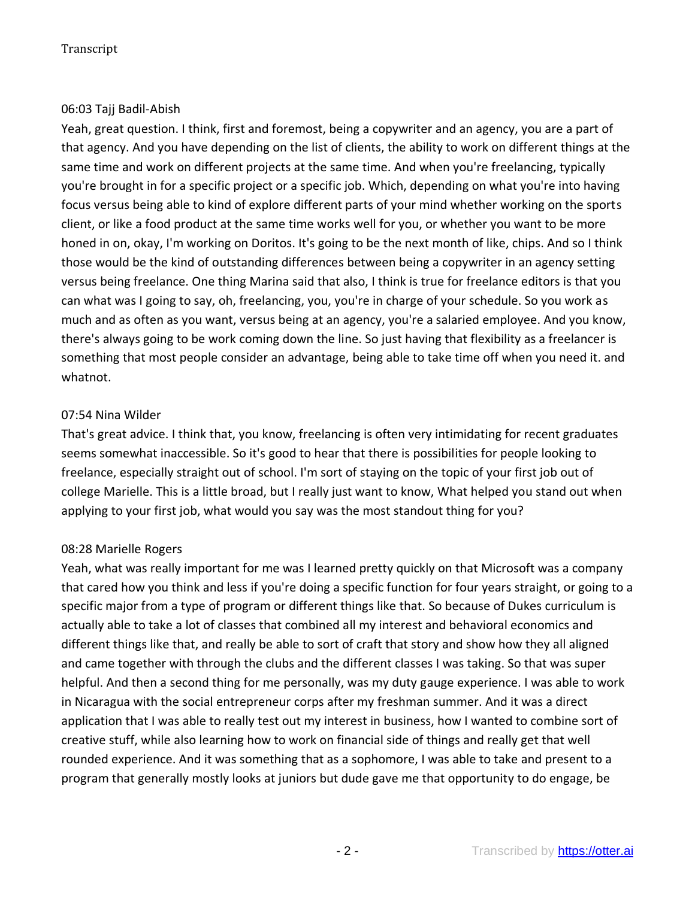## 06:03 Tajj Badil-Abish

Yeah, great question. I think, first and foremost, being a copywriter and an agency, you are a part of that agency. And you have depending on the list of clients, the ability to work on different things at the same time and work on different projects at the same time. And when you're freelancing, typically you're brought in for a specific project or a specific job. Which, depending on what you're into having focus versus being able to kind of explore different parts of your mind whether working on the sports client, or like a food product at the same time works well for you, or whether you want to be more honed in on, okay, I'm working on Doritos. It's going to be the next month of like, chips. And so I think those would be the kind of outstanding differences between being a copywriter in an agency setting versus being freelance. One thing Marina said that also, I think is true for freelance editors is that you can what was I going to say, oh, freelancing, you, you're in charge of your schedule. So you work as much and as often as you want, versus being at an agency, you're a salaried employee. And you know, there's always going to be work coming down the line. So just having that flexibility as a freelancer is something that most people consider an advantage, being able to take time off when you need it. and whatnot.

## 07:54 Nina Wilder

That's great advice. I think that, you know, freelancing is often very intimidating for recent graduates seems somewhat inaccessible. So it's good to hear that there is possibilities for people looking to freelance, especially straight out of school. I'm sort of staying on the topic of your first job out of college Marielle. This is a little broad, but I really just want to know, What helped you stand out when applying to your first job, what would you say was the most standout thing for you?

## 08:28 Marielle Rogers

Yeah, what was really important for me was I learned pretty quickly on that Microsoft was a company that cared how you think and less if you're doing a specific function for four years straight, or going to a specific major from a type of program or different things like that. So because of Dukes curriculum is actually able to take a lot of classes that combined all my interest and behavioral economics and different things like that, and really be able to sort of craft that story and show how they all aligned and came together with through the clubs and the different classes I was taking. So that was super helpful. And then a second thing for me personally, was my duty gauge experience. I was able to work in Nicaragua with the social entrepreneur corps after my freshman summer. And it was a direct application that I was able to really test out my interest in business, how I wanted to combine sort of creative stuff, while also learning how to work on financial side of things and really get that well rounded experience. And it was something that as a sophomore, I was able to take and present to a program that generally mostly looks at juniors but dude gave me that opportunity to do engage, be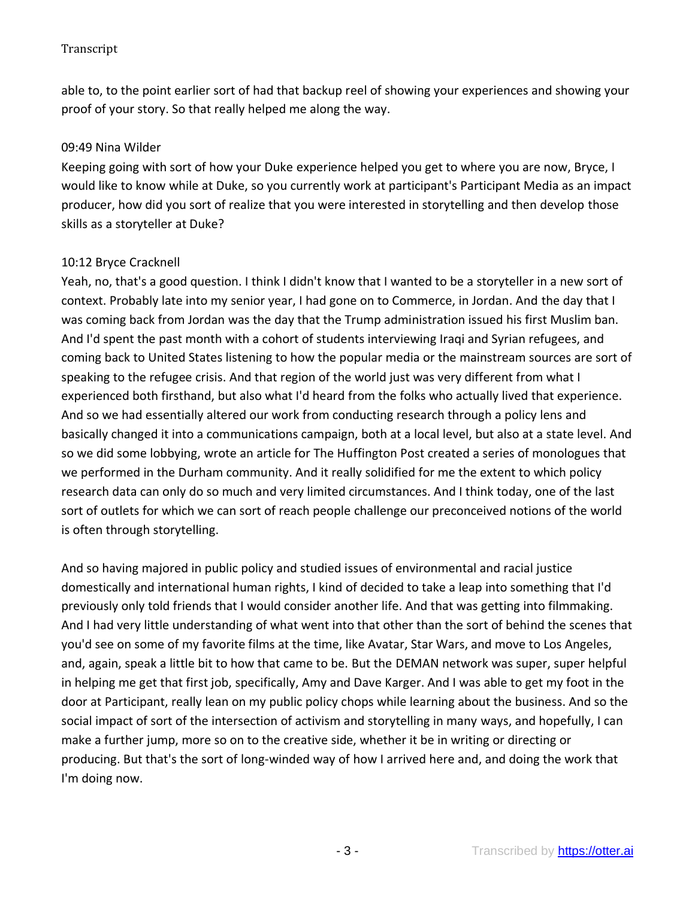able to, to the point earlier sort of had that backup reel of showing your experiences and showing your proof of your story. So that really helped me along the way.

## 09:49 Nina Wilder

Keeping going with sort of how your Duke experience helped you get to where you are now, Bryce, I would like to know while at Duke, so you currently work at participant's Participant Media as an impact producer, how did you sort of realize that you were interested in storytelling and then develop those skills as a storyteller at Duke?

## 10:12 Bryce Cracknell

Yeah, no, that's a good question. I think I didn't know that I wanted to be a storyteller in a new sort of context. Probably late into my senior year, I had gone on to Commerce, in Jordan. And the day that I was coming back from Jordan was the day that the Trump administration issued his first Muslim ban. And I'd spent the past month with a cohort of students interviewing Iraqi and Syrian refugees, and coming back to United States listening to how the popular media or the mainstream sources are sort of speaking to the refugee crisis. And that region of the world just was very different from what I experienced both firsthand, but also what I'd heard from the folks who actually lived that experience. And so we had essentially altered our work from conducting research through a policy lens and basically changed it into a communications campaign, both at a local level, but also at a state level. And so we did some lobbying, wrote an article for The Huffington Post created a series of monologues that we performed in the Durham community. And it really solidified for me the extent to which policy research data can only do so much and very limited circumstances. And I think today, one of the last sort of outlets for which we can sort of reach people challenge our preconceived notions of the world is often through storytelling.

And so having majored in public policy and studied issues of environmental and racial justice domestically and international human rights, I kind of decided to take a leap into something that I'd previously only told friends that I would consider another life. And that was getting into filmmaking. And I had very little understanding of what went into that other than the sort of behind the scenes that you'd see on some of my favorite films at the time, like Avatar, Star Wars, and move to Los Angeles, and, again, speak a little bit to how that came to be. But the DEMAN network was super, super helpful in helping me get that first job, specifically, Amy and Dave Karger. And I was able to get my foot in the door at Participant, really lean on my public policy chops while learning about the business. And so the social impact of sort of the intersection of activism and storytelling in many ways, and hopefully, I can make a further jump, more so on to the creative side, whether it be in writing or directing or producing. But that's the sort of long-winded way of how I arrived here and, and doing the work that I'm doing now.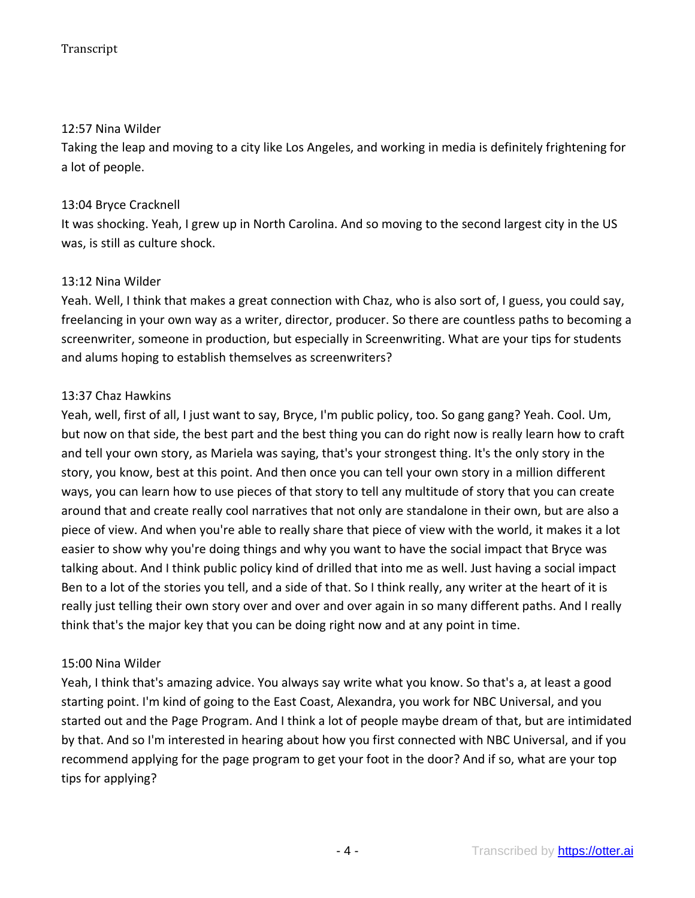## 12:57 Nina Wilder

Taking the leap and moving to a city like Los Angeles, and working in media is definitely frightening for a lot of people.

## 13:04 Bryce Cracknell

It was shocking. Yeah, I grew up in North Carolina. And so moving to the second largest city in the US was, is still as culture shock.

## 13:12 Nina Wilder

Yeah. Well, I think that makes a great connection with Chaz, who is also sort of, I guess, you could say, freelancing in your own way as a writer, director, producer. So there are countless paths to becoming a screenwriter, someone in production, but especially in Screenwriting. What are your tips for students and alums hoping to establish themselves as screenwriters?

## 13:37 Chaz Hawkins

Yeah, well, first of all, I just want to say, Bryce, I'm public policy, too. So gang gang? Yeah. Cool. Um, but now on that side, the best part and the best thing you can do right now is really learn how to craft and tell your own story, as Mariela was saying, that's your strongest thing. It's the only story in the story, you know, best at this point. And then once you can tell your own story in a million different ways, you can learn how to use pieces of that story to tell any multitude of story that you can create around that and create really cool narratives that not only are standalone in their own, but are also a piece of view. And when you're able to really share that piece of view with the world, it makes it a lot easier to show why you're doing things and why you want to have the social impact that Bryce was talking about. And I think public policy kind of drilled that into me as well. Just having a social impact Ben to a lot of the stories you tell, and a side of that. So I think really, any writer at the heart of it is really just telling their own story over and over and over again in so many different paths. And I really think that's the major key that you can be doing right now and at any point in time.

## 15:00 Nina Wilder

Yeah, I think that's amazing advice. You always say write what you know. So that's a, at least a good starting point. I'm kind of going to the East Coast, Alexandra, you work for NBC Universal, and you started out and the Page Program. And I think a lot of people maybe dream of that, but are intimidated by that. And so I'm interested in hearing about how you first connected with NBC Universal, and if you recommend applying for the page program to get your foot in the door? And if so, what are your top tips for applying?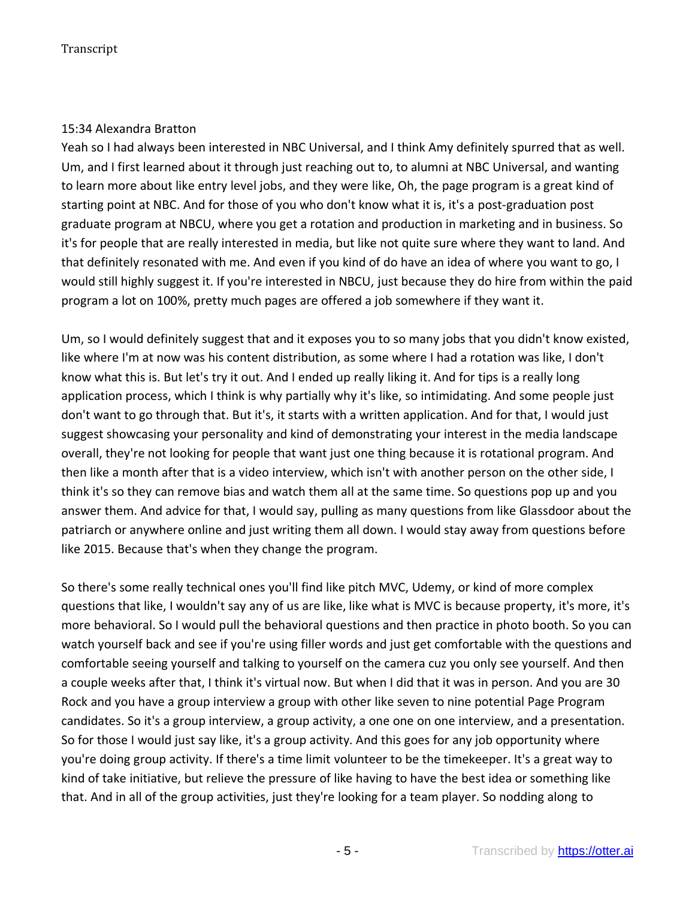## 15:34 Alexandra Bratton

Yeah so I had always been interested in NBC Universal, and I think Amy definitely spurred that as well. Um, and I first learned about it through just reaching out to, to alumni at NBC Universal, and wanting to learn more about like entry level jobs, and they were like, Oh, the page program is a great kind of starting point at NBC. And for those of you who don't know what it is, it's a post-graduation post graduate program at NBCU, where you get a rotation and production in marketing and in business. So it's for people that are really interested in media, but like not quite sure where they want to land. And that definitely resonated with me. And even if you kind of do have an idea of where you want to go, I would still highly suggest it. If you're interested in NBCU, just because they do hire from within the paid program a lot on 100%, pretty much pages are offered a job somewhere if they want it.

Um, so I would definitely suggest that and it exposes you to so many jobs that you didn't know existed, like where I'm at now was his content distribution, as some where I had a rotation was like, I don't know what this is. But let's try it out. And I ended up really liking it. And for tips is a really long application process, which I think is why partially why it's like, so intimidating. And some people just don't want to go through that. But it's, it starts with a written application. And for that, I would just suggest showcasing your personality and kind of demonstrating your interest in the media landscape overall, they're not looking for people that want just one thing because it is rotational program. And then like a month after that is a video interview, which isn't with another person on the other side, I think it's so they can remove bias and watch them all at the same time. So questions pop up and you answer them. And advice for that, I would say, pulling as many questions from like Glassdoor about the patriarch or anywhere online and just writing them all down. I would stay away from questions before like 2015. Because that's when they change the program.

So there's some really technical ones you'll find like pitch MVC, Udemy, or kind of more complex questions that like, I wouldn't say any of us are like, like what is MVC is because property, it's more, it's more behavioral. So I would pull the behavioral questions and then practice in photo booth. So you can watch yourself back and see if you're using filler words and just get comfortable with the questions and comfortable seeing yourself and talking to yourself on the camera cuz you only see yourself. And then a couple weeks after that, I think it's virtual now. But when I did that it was in person. And you are 30 Rock and you have a group interview a group with other like seven to nine potential Page Program candidates. So it's a group interview, a group activity, a one one on one interview, and a presentation. So for those I would just say like, it's a group activity. And this goes for any job opportunity where you're doing group activity. If there's a time limit volunteer to be the timekeeper. It's a great way to kind of take initiative, but relieve the pressure of like having to have the best idea or something like that. And in all of the group activities, just they're looking for a team player. So nodding along to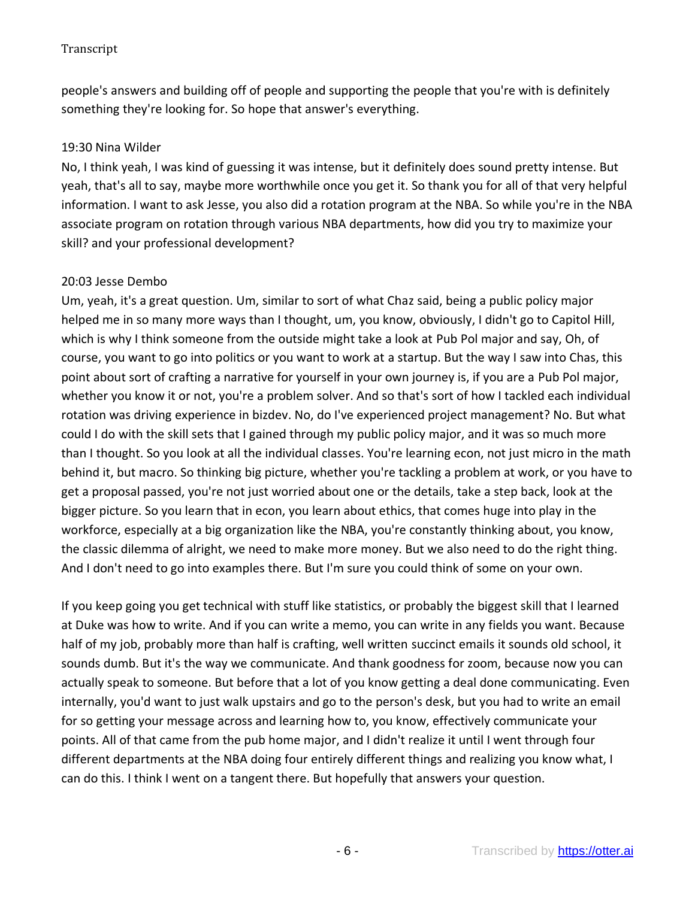people's answers and building off of people and supporting the people that you're with is definitely something they're looking for. So hope that answer's everything.

## 19:30 Nina Wilder

No, I think yeah, I was kind of guessing it was intense, but it definitely does sound pretty intense. But yeah, that's all to say, maybe more worthwhile once you get it. So thank you for all of that very helpful information. I want to ask Jesse, you also did a rotation program at the NBA. So while you're in the NBA associate program on rotation through various NBA departments, how did you try to maximize your skill? and your professional development?

## 20:03 Jesse Dembo

Um, yeah, it's a great question. Um, similar to sort of what Chaz said, being a public policy major helped me in so many more ways than I thought, um, you know, obviously, I didn't go to Capitol Hill, which is why I think someone from the outside might take a look at Pub Pol major and say, Oh, of course, you want to go into politics or you want to work at a startup. But the way I saw into Chas, this point about sort of crafting a narrative for yourself in your own journey is, if you are a Pub Pol major, whether you know it or not, you're a problem solver. And so that's sort of how I tackled each individual rotation was driving experience in bizdev. No, do I've experienced project management? No. But what could I do with the skill sets that I gained through my public policy major, and it was so much more than I thought. So you look at all the individual classes. You're learning econ, not just micro in the math behind it, but macro. So thinking big picture, whether you're tackling a problem at work, or you have to get a proposal passed, you're not just worried about one or the details, take a step back, look at the bigger picture. So you learn that in econ, you learn about ethics, that comes huge into play in the workforce, especially at a big organization like the NBA, you're constantly thinking about, you know, the classic dilemma of alright, we need to make more money. But we also need to do the right thing. And I don't need to go into examples there. But I'm sure you could think of some on your own.

If you keep going you get technical with stuff like statistics, or probably the biggest skill that I learned at Duke was how to write. And if you can write a memo, you can write in any fields you want. Because half of my job, probably more than half is crafting, well written succinct emails it sounds old school, it sounds dumb. But it's the way we communicate. And thank goodness for zoom, because now you can actually speak to someone. But before that a lot of you know getting a deal done communicating. Even internally, you'd want to just walk upstairs and go to the person's desk, but you had to write an email for so getting your message across and learning how to, you know, effectively communicate your points. All of that came from the pub home major, and I didn't realize it until I went through four different departments at the NBA doing four entirely different things and realizing you know what, I can do this. I think I went on a tangent there. But hopefully that answers your question.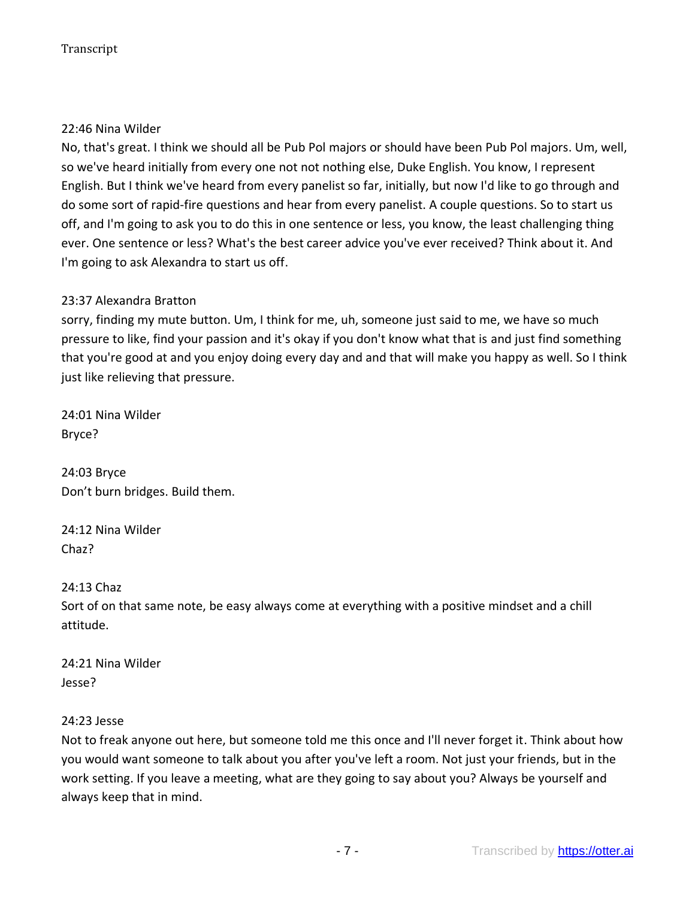## 22:46 Nina Wilder

No, that's great. I think we should all be Pub Pol majors or should have been Pub Pol majors. Um, well, so we've heard initially from every one not not nothing else, Duke English. You know, I represent English. But I think we've heard from every panelist so far, initially, but now I'd like to go through and do some sort of rapid-fire questions and hear from every panelist. A couple questions. So to start us off, and I'm going to ask you to do this in one sentence or less, you know, the least challenging thing ever. One sentence or less? What's the best career advice you've ever received? Think about it. And I'm going to ask Alexandra to start us off.

## 23:37 Alexandra Bratton

sorry, finding my mute button. Um, I think for me, uh, someone just said to me, we have so much pressure to like, find your passion and it's okay if you don't know what that is and just find something that you're good at and you enjoy doing every day and and that will make you happy as well. So I think just like relieving that pressure.

24:01 Nina Wilder Bryce?

24:03 Bryce Don't burn bridges. Build them.

24:12 Nina Wilder Chaz?

24:13 Chaz

Sort of on that same note, be easy always come at everything with a positive mindset and a chill attitude.

24:21 Nina Wilder Jesse?

#### 24:23 Jesse

Not to freak anyone out here, but someone told me this once and I'll never forget it. Think about how you would want someone to talk about you after you've left a room. Not just your friends, but in the work setting. If you leave a meeting, what are they going to say about you? Always be yourself and always keep that in mind.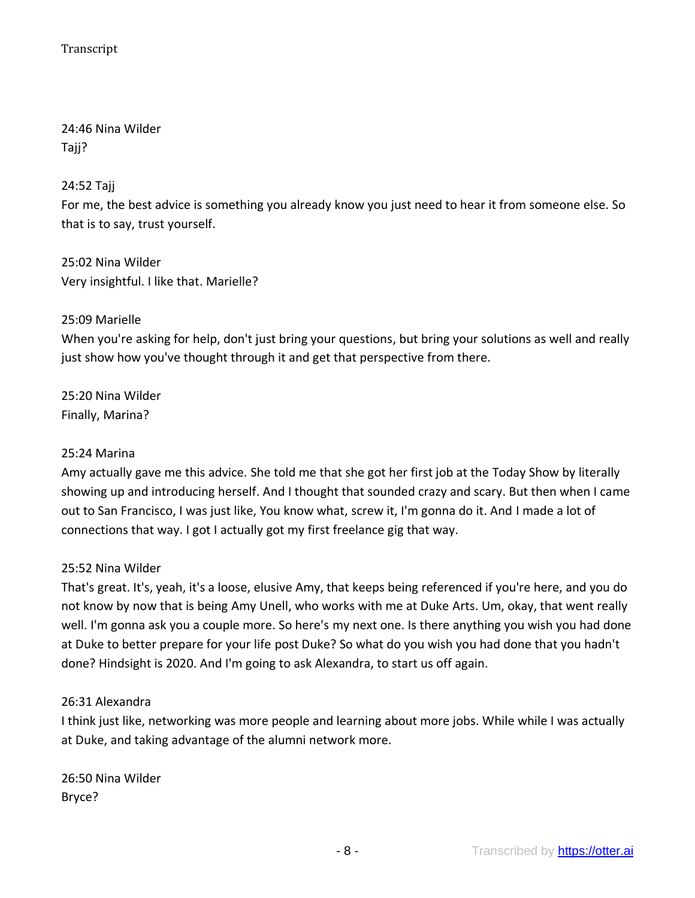24:46 Nina Wilder Tajj?

24:52 Tajj

For me, the best advice is something you already know you just need to hear it from someone else. So that is to say, trust yourself.

25:02 Nina Wilder Very insightful. I like that. Marielle?

## 25:09 Marielle

When you're asking for help, don't just bring your questions, but bring your solutions as well and really just show how you've thought through it and get that perspective from there.

25:20 Nina Wilder Finally, Marina?

#### 25:24 Marina

Amy actually gave me this advice. She told me that she got her first job at the Today Show by literally showing up and introducing herself. And I thought that sounded crazy and scary. But then when I came out to San Francisco, I was just like, You know what, screw it, I'm gonna do it. And I made a lot of connections that way. I got I actually got my first freelance gig that way.

## 25:52 Nina Wilder

That's great. It's, yeah, it's a loose, elusive Amy, that keeps being referenced if you're here, and you do not know by now that is being Amy Unell, who works with me at Duke Arts. Um, okay, that went really well. I'm gonna ask you a couple more. So here's my next one. Is there anything you wish you had done at Duke to better prepare for your life post Duke? So what do you wish you had done that you hadn't done? Hindsight is 2020. And I'm going to ask Alexandra, to start us off again.

## 26:31 Alexandra

I think just like, networking was more people and learning about more jobs. While while I was actually at Duke, and taking advantage of the alumni network more.

26:50 Nina Wilder Bryce?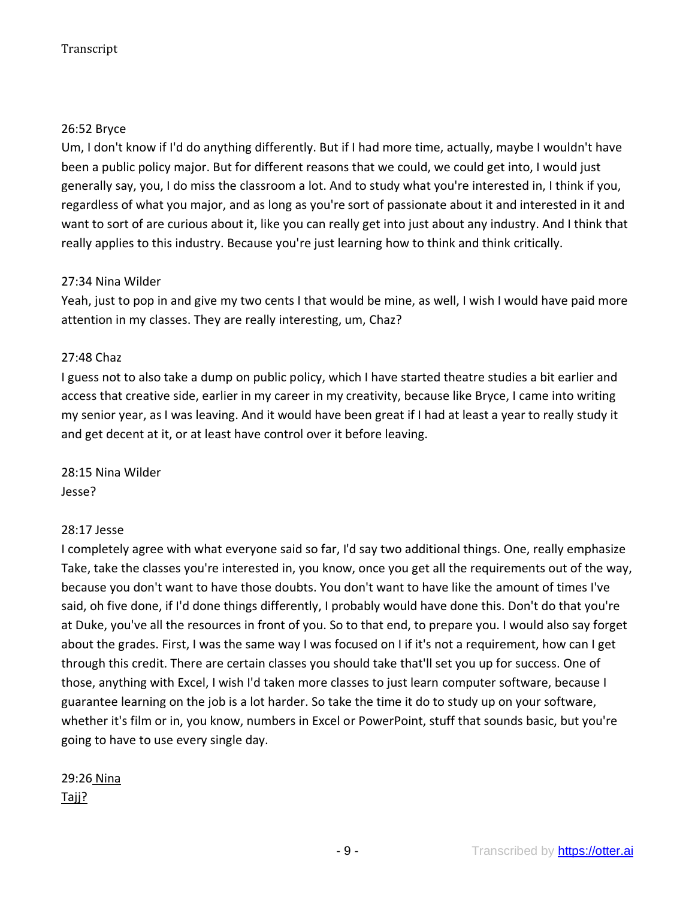## 26:52 Bryce

Um, I don't know if I'd do anything differently. But if I had more time, actually, maybe I wouldn't have been a public policy major. But for different reasons that we could, we could get into, I would just generally say, you, I do miss the classroom a lot. And to study what you're interested in, I think if you, regardless of what you major, and as long as you're sort of passionate about it and interested in it and want to sort of are curious about it, like you can really get into just about any industry. And I think that really applies to this industry. Because you're just learning how to think and think critically.

## 27:34 Nina Wilder

Yeah, just to pop in and give my two cents I that would be mine, as well, I wish I would have paid more attention in my classes. They are really interesting, um, Chaz?

## 27:48 Chaz

I guess not to also take a dump on public policy, which I have started theatre studies a bit earlier and access that creative side, earlier in my career in my creativity, because like Bryce, I came into writing my senior year, as I was leaving. And it would have been great if I had at least a year to really study it and get decent at it, or at least have control over it before leaving.

28:15 Nina Wilder Jesse?

## 28:17 Jesse

I completely agree with what everyone said so far, I'd say two additional things. One, really emphasize Take, take the classes you're interested in, you know, once you get all the requirements out of the way, because you don't want to have those doubts. You don't want to have like the amount of times I've said, oh five done, if I'd done things differently, I probably would have done this. Don't do that you're at Duke, you've all the resources in front of you. So to that end, to prepare you. I would also say forget about the grades. First, I was the same way I was focused on I if it's not a requirement, how can I get through this credit. There are certain classes you should take that'll set you up for success. One of those, anything with Excel, I wish I'd taken more classes to just learn computer software, because I guarantee learning on the job is a lot harder. So take the time it do to study up on your software, whether it's film or in, you know, numbers in Excel or PowerPoint, stuff that sounds basic, but you're going to have to use every single day.

# 29:26 Nina

Tajj?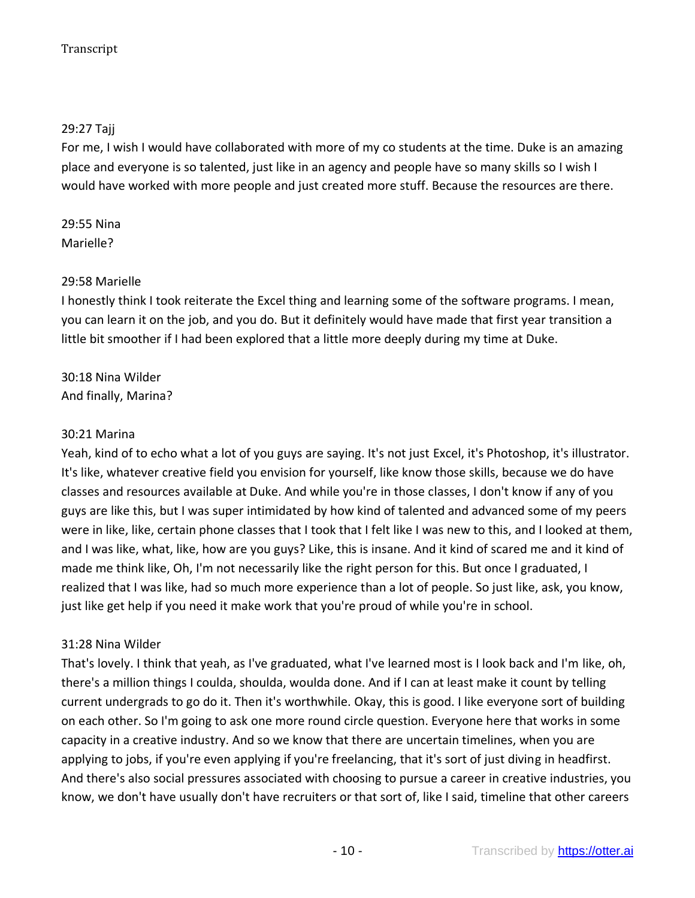## 29:27 Tajj

For me, I wish I would have collaborated with more of my co students at the time. Duke is an amazing place and everyone is so talented, just like in an agency and people have so many skills so I wish I would have worked with more people and just created more stuff. Because the resources are there.

29:55 Nina Marielle?

#### 29:58 Marielle

I honestly think I took reiterate the Excel thing and learning some of the software programs. I mean, you can learn it on the job, and you do. But it definitely would have made that first year transition a little bit smoother if I had been explored that a little more deeply during my time at Duke.

30:18 Nina Wilder And finally, Marina?

#### 30:21 Marina

Yeah, kind of to echo what a lot of you guys are saying. It's not just Excel, it's Photoshop, it's illustrator. It's like, whatever creative field you envision for yourself, like know those skills, because we do have classes and resources available at Duke. And while you're in those classes, I don't know if any of you guys are like this, but I was super intimidated by how kind of talented and advanced some of my peers were in like, like, certain phone classes that I took that I felt like I was new to this, and I looked at them, and I was like, what, like, how are you guys? Like, this is insane. And it kind of scared me and it kind of made me think like, Oh, I'm not necessarily like the right person for this. But once I graduated, I realized that I was like, had so much more experience than a lot of people. So just like, ask, you know, just like get help if you need it make work that you're proud of while you're in school.

#### 31:28 Nina Wilder

That's lovely. I think that yeah, as I've graduated, what I've learned most is I look back and I'm like, oh, there's a million things I coulda, shoulda, woulda done. And if I can at least make it count by telling current undergrads to go do it. Then it's worthwhile. Okay, this is good. I like everyone sort of building on each other. So I'm going to ask one more round circle question. Everyone here that works in some capacity in a creative industry. And so we know that there are uncertain timelines, when you are applying to jobs, if you're even applying if you're freelancing, that it's sort of just diving in headfirst. And there's also social pressures associated with choosing to pursue a career in creative industries, you know, we don't have usually don't have recruiters or that sort of, like I said, timeline that other careers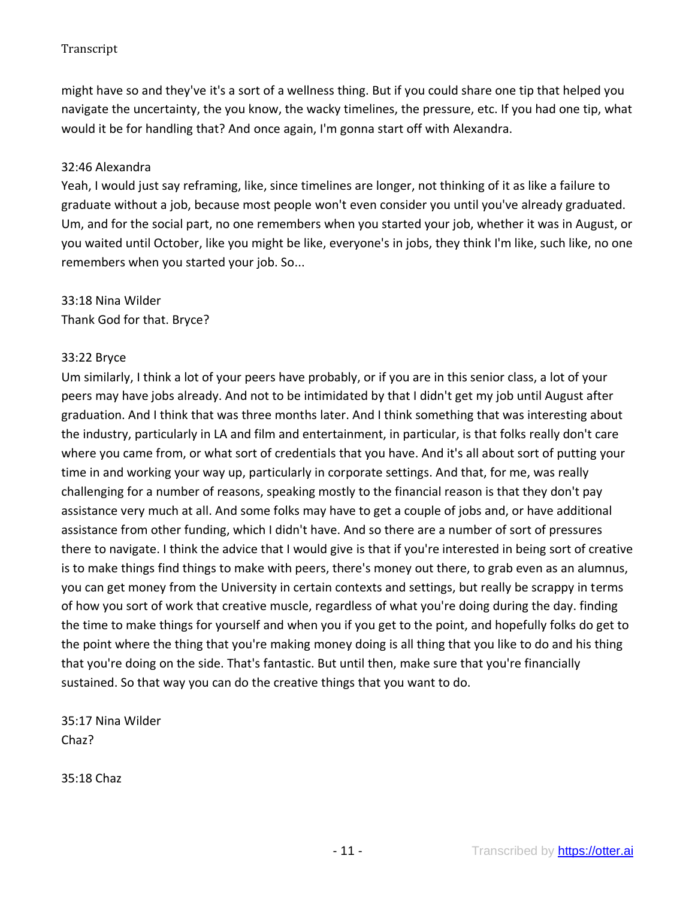might have so and they've it's a sort of a wellness thing. But if you could share one tip that helped you navigate the uncertainty, the you know, the wacky timelines, the pressure, etc. If you had one tip, what would it be for handling that? And once again, I'm gonna start off with Alexandra.

## 32:46 Alexandra

Yeah, I would just say reframing, like, since timelines are longer, not thinking of it as like a failure to graduate without a job, because most people won't even consider you until you've already graduated. Um, and for the social part, no one remembers when you started your job, whether it was in August, or you waited until October, like you might be like, everyone's in jobs, they think I'm like, such like, no one remembers when you started your job. So...

# 33:18 Nina Wilder Thank God for that. Bryce?

#### 33:22 Bryce

Um similarly, I think a lot of your peers have probably, or if you are in this senior class, a lot of your peers may have jobs already. And not to be intimidated by that I didn't get my job until August after graduation. And I think that was three months later. And I think something that was interesting about the industry, particularly in LA and film and entertainment, in particular, is that folks really don't care where you came from, or what sort of credentials that you have. And it's all about sort of putting your time in and working your way up, particularly in corporate settings. And that, for me, was really challenging for a number of reasons, speaking mostly to the financial reason is that they don't pay assistance very much at all. And some folks may have to get a couple of jobs and, or have additional assistance from other funding, which I didn't have. And so there are a number of sort of pressures there to navigate. I think the advice that I would give is that if you're interested in being sort of creative is to make things find things to make with peers, there's money out there, to grab even as an alumnus, you can get money from the University in certain contexts and settings, but really be scrappy in terms of how you sort of work that creative muscle, regardless of what you're doing during the day. finding the time to make things for yourself and when you if you get to the point, and hopefully folks do get to the point where the thing that you're making money doing is all thing that you like to do and his thing that you're doing on the side. That's fantastic. But until then, make sure that you're financially sustained. So that way you can do the creative things that you want to do.

35:17 Nina Wilder Chaz?

35:18 Chaz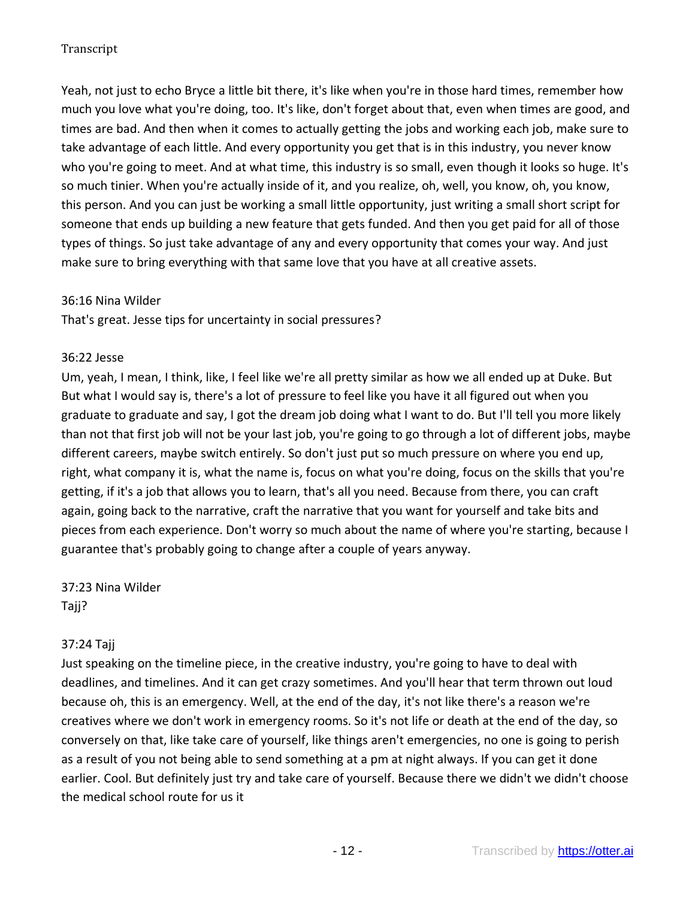Yeah, not just to echo Bryce a little bit there, it's like when you're in those hard times, remember how much you love what you're doing, too. It's like, don't forget about that, even when times are good, and times are bad. And then when it comes to actually getting the jobs and working each job, make sure to take advantage of each little. And every opportunity you get that is in this industry, you never know who you're going to meet. And at what time, this industry is so small, even though it looks so huge. It's so much tinier. When you're actually inside of it, and you realize, oh, well, you know, oh, you know, this person. And you can just be working a small little opportunity, just writing a small short script for someone that ends up building a new feature that gets funded. And then you get paid for all of those types of things. So just take advantage of any and every opportunity that comes your way. And just make sure to bring everything with that same love that you have at all creative assets.

#### 36:16 Nina Wilder

That's great. Jesse tips for uncertainty in social pressures?

#### 36:22 Jesse

Um, yeah, I mean, I think, like, I feel like we're all pretty similar as how we all ended up at Duke. But But what I would say is, there's a lot of pressure to feel like you have it all figured out when you graduate to graduate and say, I got the dream job doing what I want to do. But I'll tell you more likely than not that first job will not be your last job, you're going to go through a lot of different jobs, maybe different careers, maybe switch entirely. So don't just put so much pressure on where you end up, right, what company it is, what the name is, focus on what you're doing, focus on the skills that you're getting, if it's a job that allows you to learn, that's all you need. Because from there, you can craft again, going back to the narrative, craft the narrative that you want for yourself and take bits and pieces from each experience. Don't worry so much about the name of where you're starting, because I guarantee that's probably going to change after a couple of years anyway.

37:23 Nina Wilder Tajj?

#### 37:24 Tajj

Just speaking on the timeline piece, in the creative industry, you're going to have to deal with deadlines, and timelines. And it can get crazy sometimes. And you'll hear that term thrown out loud because oh, this is an emergency. Well, at the end of the day, it's not like there's a reason we're creatives where we don't work in emergency rooms. So it's not life or death at the end of the day, so conversely on that, like take care of yourself, like things aren't emergencies, no one is going to perish as a result of you not being able to send something at a pm at night always. If you can get it done earlier. Cool. But definitely just try and take care of yourself. Because there we didn't we didn't choose the medical school route for us it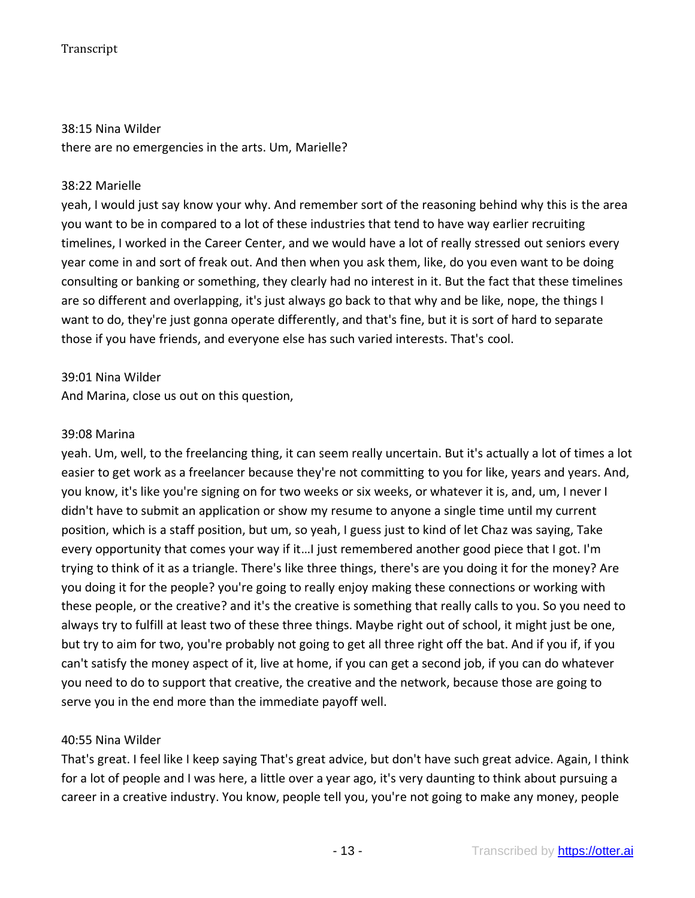#### 38:15 Nina Wilder

there are no emergencies in the arts. Um, Marielle?

#### 38:22 Marielle

yeah, I would just say know your why. And remember sort of the reasoning behind why this is the area you want to be in compared to a lot of these industries that tend to have way earlier recruiting timelines, I worked in the Career Center, and we would have a lot of really stressed out seniors every year come in and sort of freak out. And then when you ask them, like, do you even want to be doing consulting or banking or something, they clearly had no interest in it. But the fact that these timelines are so different and overlapping, it's just always go back to that why and be like, nope, the things I want to do, they're just gonna operate differently, and that's fine, but it is sort of hard to separate those if you have friends, and everyone else has such varied interests. That's cool.

#### 39:01 Nina Wilder

And Marina, close us out on this question,

#### 39:08 Marina

yeah. Um, well, to the freelancing thing, it can seem really uncertain. But it's actually a lot of times a lot easier to get work as a freelancer because they're not committing to you for like, years and years. And, you know, it's like you're signing on for two weeks or six weeks, or whatever it is, and, um, I never I didn't have to submit an application or show my resume to anyone a single time until my current position, which is a staff position, but um, so yeah, I guess just to kind of let Chaz was saying, Take every opportunity that comes your way if it…I just remembered another good piece that I got. I'm trying to think of it as a triangle. There's like three things, there's are you doing it for the money? Are you doing it for the people? you're going to really enjoy making these connections or working with these people, or the creative? and it's the creative is something that really calls to you. So you need to always try to fulfill at least two of these three things. Maybe right out of school, it might just be one, but try to aim for two, you're probably not going to get all three right off the bat. And if you if, if you can't satisfy the money aspect of it, live at home, if you can get a second job, if you can do whatever you need to do to support that creative, the creative and the network, because those are going to serve you in the end more than the immediate payoff well.

#### 40:55 Nina Wilder

That's great. I feel like I keep saying That's great advice, but don't have such great advice. Again, I think for a lot of people and I was here, a little over a year ago, it's very daunting to think about pursuing a career in a creative industry. You know, people tell you, you're not going to make any money, people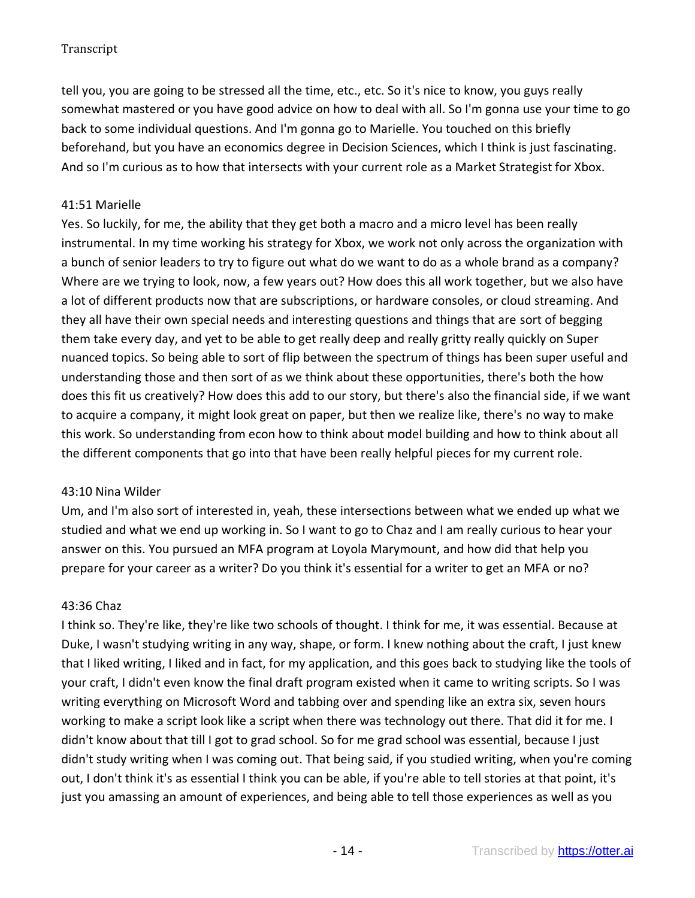tell you, you are going to be stressed all the time, etc., etc. So it's nice to know, you guys really somewhat mastered or you have good advice on how to deal with all. So I'm gonna use your time to go back to some individual questions. And I'm gonna go to Marielle. You touched on this briefly beforehand, but you have an economics degree in Decision Sciences, which I think is just fascinating. And so I'm curious as to how that intersects with your current role as a Market Strategist for Xbox.

## 41:51 Marielle

Yes. So luckily, for me, the ability that they get both a macro and a micro level has been really instrumental. In my time working his strategy for Xbox, we work not only across the organization with a bunch of senior leaders to try to figure out what do we want to do as a whole brand as a company? Where are we trying to look, now, a few years out? How does this all work together, but we also have a lot of different products now that are subscriptions, or hardware consoles, or cloud streaming. And they all have their own special needs and interesting questions and things that are sort of begging them take every day, and yet to be able to get really deep and really gritty really quickly on Super nuanced topics. So being able to sort of flip between the spectrum of things has been super useful and understanding those and then sort of as we think about these opportunities, there's both the how does this fit us creatively? How does this add to our story, but there's also the financial side, if we want to acquire a company, it might look great on paper, but then we realize like, there's no way to make this work. So understanding from econ how to think about model building and how to think about all the different components that go into that have been really helpful pieces for my current role.

## 43:10 Nina Wilder

Um, and I'm also sort of interested in, yeah, these intersections between what we ended up what we studied and what we end up working in. So I want to go to Chaz and I am really curious to hear your answer on this. You pursued an MFA program at Loyola Marymount, and how did that help you prepare for your career as a writer? Do you think it's essential for a writer to get an MFA or no?

#### 43:36 Chaz

I think so. They're like, they're like two schools of thought. I think for me, it was essential. Because at Duke, I wasn't studying writing in any way, shape, or form. I knew nothing about the craft, I just knew that I liked writing, I liked and in fact, for my application, and this goes back to studying like the tools of your craft, I didn't even know the final draft program existed when it came to writing scripts. So I was writing everything on Microsoft Word and tabbing over and spending like an extra six, seven hours working to make a script look like a script when there was technology out there. That did it for me. I didn't know about that till I got to grad school. So for me grad school was essential, because I just didn't study writing when I was coming out. That being said, if you studied writing, when you're coming out, I don't think it's as essential I think you can be able, if you're able to tell stories at that point, it's just you amassing an amount of experiences, and being able to tell those experiences as well as you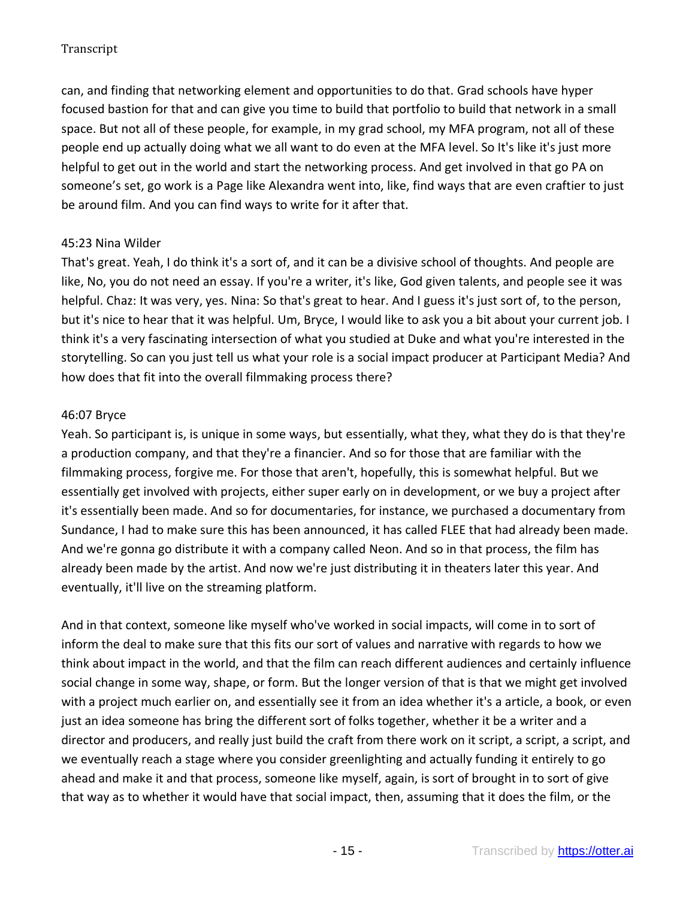can, and finding that networking element and opportunities to do that. Grad schools have hyper focused bastion for that and can give you time to build that portfolio to build that network in a small space. But not all of these people, for example, in my grad school, my MFA program, not all of these people end up actually doing what we all want to do even at the MFA level. So It's like it's just more helpful to get out in the world and start the networking process. And get involved in that go PA on someone's set, go work is a Page like Alexandra went into, like, find ways that are even craftier to just be around film. And you can find ways to write for it after that.

## 45:23 Nina Wilder

That's great. Yeah, I do think it's a sort of, and it can be a divisive school of thoughts. And people are like, No, you do not need an essay. If you're a writer, it's like, God given talents, and people see it was helpful. Chaz: It was very, yes. Nina: So that's great to hear. And I guess it's just sort of, to the person, but it's nice to hear that it was helpful. Um, Bryce, I would like to ask you a bit about your current job. I think it's a very fascinating intersection of what you studied at Duke and what you're interested in the storytelling. So can you just tell us what your role is a social impact producer at Participant Media? And how does that fit into the overall filmmaking process there?

## 46:07 Bryce

Yeah. So participant is, is unique in some ways, but essentially, what they, what they do is that they're a production company, and that they're a financier. And so for those that are familiar with the filmmaking process, forgive me. For those that aren't, hopefully, this is somewhat helpful. But we essentially get involved with projects, either super early on in development, or we buy a project after it's essentially been made. And so for documentaries, for instance, we purchased a documentary from Sundance, I had to make sure this has been announced, it has called FLEE that had already been made. And we're gonna go distribute it with a company called Neon. And so in that process, the film has already been made by the artist. And now we're just distributing it in theaters later this year. And eventually, it'll live on the streaming platform.

And in that context, someone like myself who've worked in social impacts, will come in to sort of inform the deal to make sure that this fits our sort of values and narrative with regards to how we think about impact in the world, and that the film can reach different audiences and certainly influence social change in some way, shape, or form. But the longer version of that is that we might get involved with a project much earlier on, and essentially see it from an idea whether it's a article, a book, or even just an idea someone has bring the different sort of folks together, whether it be a writer and a director and producers, and really just build the craft from there work on it script, a script, a script, and we eventually reach a stage where you consider greenlighting and actually funding it entirely to go ahead and make it and that process, someone like myself, again, is sort of brought in to sort of give that way as to whether it would have that social impact, then, assuming that it does the film, or the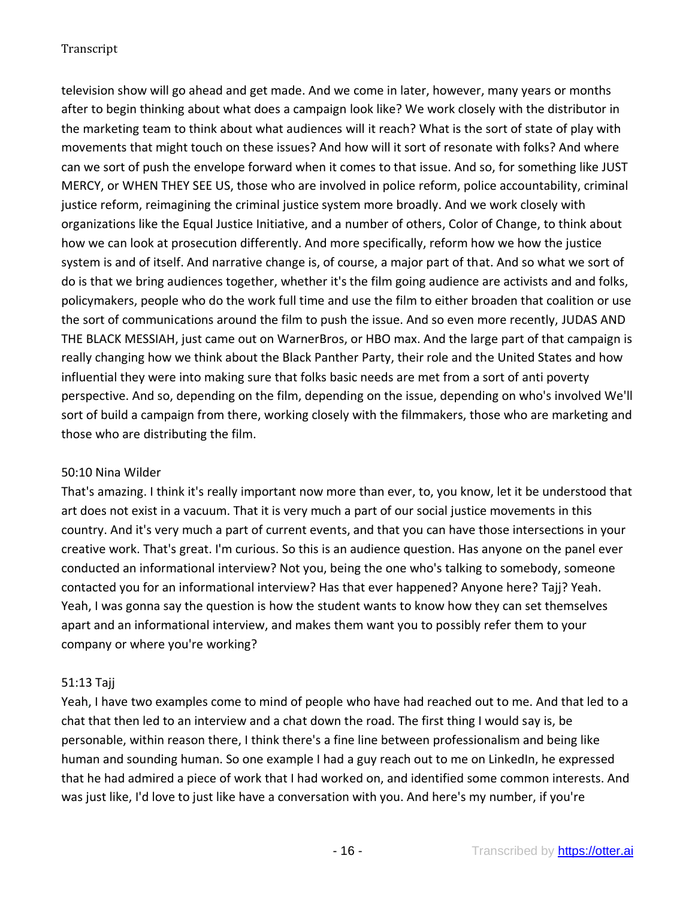television show will go ahead and get made. And we come in later, however, many years or months after to begin thinking about what does a campaign look like? We work closely with the distributor in the marketing team to think about what audiences will it reach? What is the sort of state of play with movements that might touch on these issues? And how will it sort of resonate with folks? And where can we sort of push the envelope forward when it comes to that issue. And so, for something like JUST MERCY, or WHEN THEY SEE US, those who are involved in police reform, police accountability, criminal justice reform, reimagining the criminal justice system more broadly. And we work closely with organizations like the Equal Justice Initiative, and a number of others, Color of Change, to think about how we can look at prosecution differently. And more specifically, reform how we how the justice system is and of itself. And narrative change is, of course, a major part of that. And so what we sort of do is that we bring audiences together, whether it's the film going audience are activists and and folks, policymakers, people who do the work full time and use the film to either broaden that coalition or use the sort of communications around the film to push the issue. And so even more recently, JUDAS AND THE BLACK MESSIAH, just came out on WarnerBros, or HBO max. And the large part of that campaign is really changing how we think about the Black Panther Party, their role and the United States and how influential they were into making sure that folks basic needs are met from a sort of anti poverty perspective. And so, depending on the film, depending on the issue, depending on who's involved We'll sort of build a campaign from there, working closely with the filmmakers, those who are marketing and those who are distributing the film.

## 50:10 Nina Wilder

That's amazing. I think it's really important now more than ever, to, you know, let it be understood that art does not exist in a vacuum. That it is very much a part of our social justice movements in this country. And it's very much a part of current events, and that you can have those intersections in your creative work. That's great. I'm curious. So this is an audience question. Has anyone on the panel ever conducted an informational interview? Not you, being the one who's talking to somebody, someone contacted you for an informational interview? Has that ever happened? Anyone here? Tajj? Yeah. Yeah, I was gonna say the question is how the student wants to know how they can set themselves apart and an informational interview, and makes them want you to possibly refer them to your company or where you're working?

## 51:13 Tajj

Yeah, I have two examples come to mind of people who have had reached out to me. And that led to a chat that then led to an interview and a chat down the road. The first thing I would say is, be personable, within reason there, I think there's a fine line between professionalism and being like human and sounding human. So one example I had a guy reach out to me on LinkedIn, he expressed that he had admired a piece of work that I had worked on, and identified some common interests. And was just like, I'd love to just like have a conversation with you. And here's my number, if you're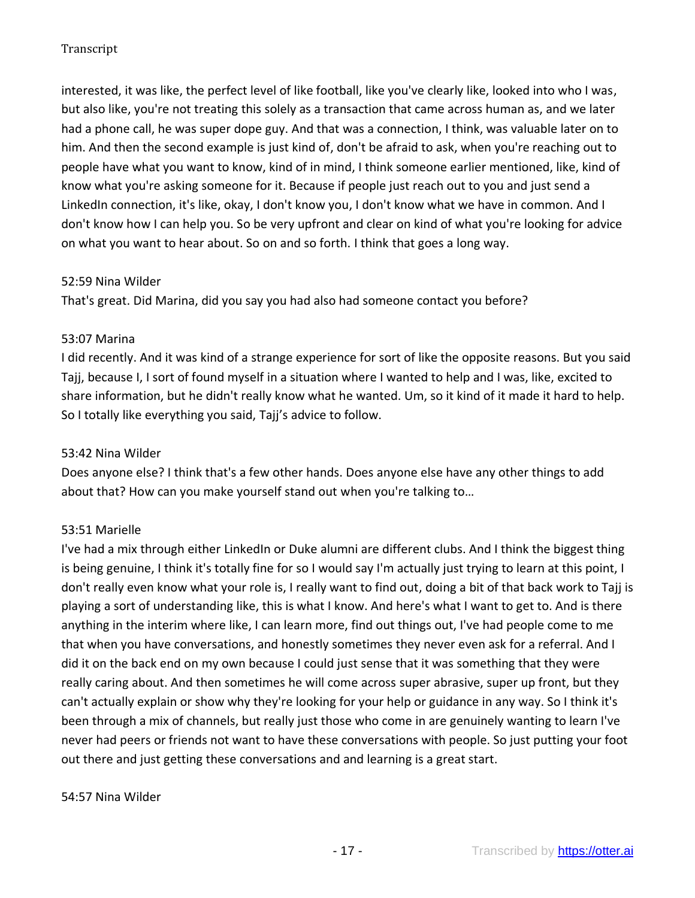interested, it was like, the perfect level of like football, like you've clearly like, looked into who I was, but also like, you're not treating this solely as a transaction that came across human as, and we later had a phone call, he was super dope guy. And that was a connection, I think, was valuable later on to him. And then the second example is just kind of, don't be afraid to ask, when you're reaching out to people have what you want to know, kind of in mind, I think someone earlier mentioned, like, kind of know what you're asking someone for it. Because if people just reach out to you and just send a LinkedIn connection, it's like, okay, I don't know you, I don't know what we have in common. And I don't know how I can help you. So be very upfront and clear on kind of what you're looking for advice on what you want to hear about. So on and so forth. I think that goes a long way.

## 52:59 Nina Wilder

That's great. Did Marina, did you say you had also had someone contact you before?

## 53:07 Marina

I did recently. And it was kind of a strange experience for sort of like the opposite reasons. But you said Tajj, because I, I sort of found myself in a situation where I wanted to help and I was, like, excited to share information, but he didn't really know what he wanted. Um, so it kind of it made it hard to help. So I totally like everything you said, Tajj's advice to follow.

## 53:42 Nina Wilder

Does anyone else? I think that's a few other hands. Does anyone else have any other things to add about that? How can you make yourself stand out when you're talking to…

## 53:51 Marielle

I've had a mix through either LinkedIn or Duke alumni are different clubs. And I think the biggest thing is being genuine, I think it's totally fine for so I would say I'm actually just trying to learn at this point, I don't really even know what your role is, I really want to find out, doing a bit of that back work to Tajj is playing a sort of understanding like, this is what I know. And here's what I want to get to. And is there anything in the interim where like, I can learn more, find out things out, I've had people come to me that when you have conversations, and honestly sometimes they never even ask for a referral. And I did it on the back end on my own because I could just sense that it was something that they were really caring about. And then sometimes he will come across super abrasive, super up front, but they can't actually explain or show why they're looking for your help or guidance in any way. So I think it's been through a mix of channels, but really just those who come in are genuinely wanting to learn I've never had peers or friends not want to have these conversations with people. So just putting your foot out there and just getting these conversations and and learning is a great start.

#### 54:57 Nina Wilder